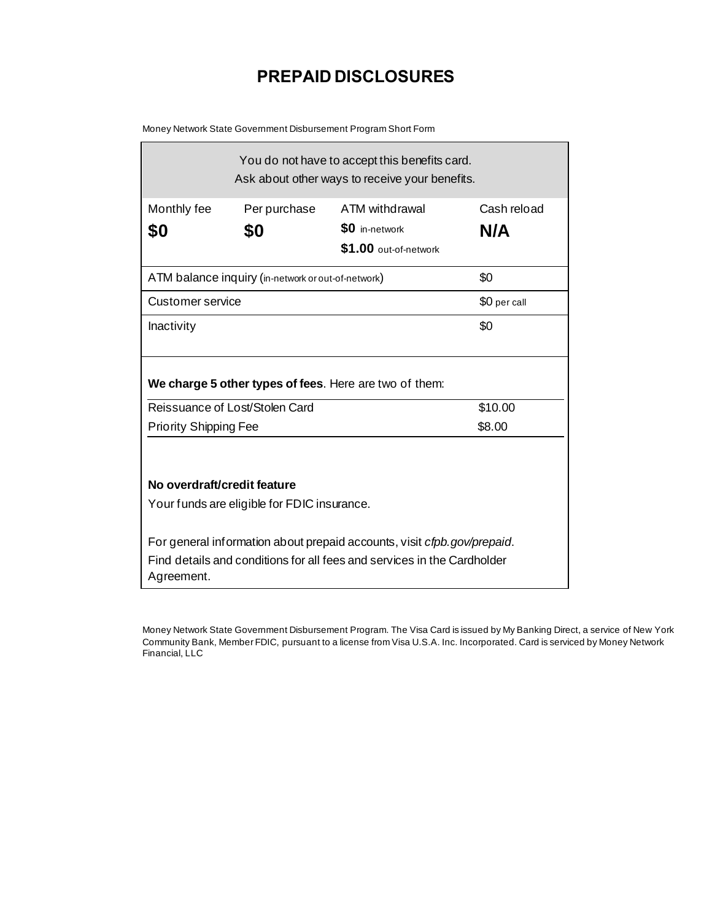## **PREPAID DISCLOSURES**

Money Network State Government Disbursement Program Short Form

| You do not have to accept this benefits card.<br>Ask about other ways to receive your benefits.                                                                  |              |                                  |              |  |  |  |
|------------------------------------------------------------------------------------------------------------------------------------------------------------------|--------------|----------------------------------|--------------|--|--|--|
| Monthly fee                                                                                                                                                      | Per purchase | ATM withdrawal<br>\$0 in-network | Cash reload  |  |  |  |
| \$0                                                                                                                                                              | \$0          | \$1.00 out-of-network            | N/A          |  |  |  |
| ATM balance inquiry (in-network or out-of-network)                                                                                                               | \$0          |                                  |              |  |  |  |
| Customer service                                                                                                                                                 |              |                                  | \$0 per call |  |  |  |
| Inactivity                                                                                                                                                       |              |                                  | \$0          |  |  |  |
| We charge 5 other types of fees. Here are two of them:                                                                                                           |              |                                  |              |  |  |  |
| Reissuance of Lost/Stolen Card                                                                                                                                   |              |                                  | \$10.00      |  |  |  |
| <b>Priority Shipping Fee</b>                                                                                                                                     |              |                                  | \$8.00       |  |  |  |
| No overdraft/credit feature<br>Your funds are eligible for FDIC insurance.                                                                                       |              |                                  |              |  |  |  |
| For general information about prepaid accounts, visit cfpb.gov/prepaid.<br>Find details and conditions for all fees and services in the Cardholder<br>Agreement. |              |                                  |              |  |  |  |

Money Network State Government Disbursement Program. The Visa Card is issued by My Banking Direct, a service of New York Community Bank, Member FDIC, pursuant to a license from Visa U.S.A. Inc. Incorporated. Card is serviced by Money Network Financial, LLC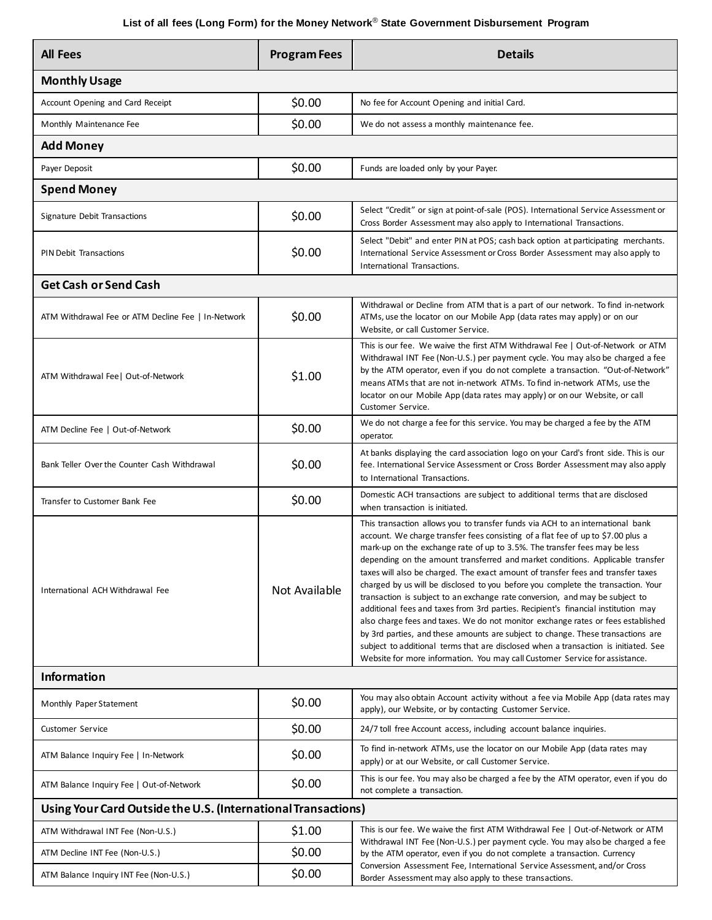## **List of all fees (Long Form) for the Money Network**® **State Government Disbursement Program**

| <b>All Fees</b>                                               | <b>Program Fees</b> | <b>Details</b>                                                                                                                                                                                                                                                                                                                                                                                                                                                                                                                                                                                                                                                                                                                                                                                                                                                                                                                                                                                                              |  |  |  |  |
|---------------------------------------------------------------|---------------------|-----------------------------------------------------------------------------------------------------------------------------------------------------------------------------------------------------------------------------------------------------------------------------------------------------------------------------------------------------------------------------------------------------------------------------------------------------------------------------------------------------------------------------------------------------------------------------------------------------------------------------------------------------------------------------------------------------------------------------------------------------------------------------------------------------------------------------------------------------------------------------------------------------------------------------------------------------------------------------------------------------------------------------|--|--|--|--|
| <b>Monthly Usage</b>                                          |                     |                                                                                                                                                                                                                                                                                                                                                                                                                                                                                                                                                                                                                                                                                                                                                                                                                                                                                                                                                                                                                             |  |  |  |  |
| Account Opening and Card Receipt                              | \$0.00              | No fee for Account Opening and initial Card.                                                                                                                                                                                                                                                                                                                                                                                                                                                                                                                                                                                                                                                                                                                                                                                                                                                                                                                                                                                |  |  |  |  |
| Monthly Maintenance Fee                                       | \$0.00              | We do not assess a monthly maintenance fee.                                                                                                                                                                                                                                                                                                                                                                                                                                                                                                                                                                                                                                                                                                                                                                                                                                                                                                                                                                                 |  |  |  |  |
| <b>Add Money</b>                                              |                     |                                                                                                                                                                                                                                                                                                                                                                                                                                                                                                                                                                                                                                                                                                                                                                                                                                                                                                                                                                                                                             |  |  |  |  |
| Payer Deposit                                                 | \$0.00              | Funds are loaded only by your Payer.                                                                                                                                                                                                                                                                                                                                                                                                                                                                                                                                                                                                                                                                                                                                                                                                                                                                                                                                                                                        |  |  |  |  |
| <b>Spend Money</b>                                            |                     |                                                                                                                                                                                                                                                                                                                                                                                                                                                                                                                                                                                                                                                                                                                                                                                                                                                                                                                                                                                                                             |  |  |  |  |
| Signature Debit Transactions                                  | \$0.00              | Select "Credit" or sign at point-of-sale (POS). International Service Assessment or<br>Cross Border Assessment may also apply to International Transactions.                                                                                                                                                                                                                                                                                                                                                                                                                                                                                                                                                                                                                                                                                                                                                                                                                                                                |  |  |  |  |
| <b>PIN Debit Transactions</b>                                 | \$0.00              | Select "Debit" and enter PIN at POS; cash back option at participating merchants.<br>International Service Assessment or Cross Border Assessment may also apply to<br>International Transactions.                                                                                                                                                                                                                                                                                                                                                                                                                                                                                                                                                                                                                                                                                                                                                                                                                           |  |  |  |  |
| <b>Get Cash or Send Cash</b>                                  |                     |                                                                                                                                                                                                                                                                                                                                                                                                                                                                                                                                                                                                                                                                                                                                                                                                                                                                                                                                                                                                                             |  |  |  |  |
| ATM Withdrawal Fee or ATM Decline Fee   In-Network            | \$0.00              | Withdrawal or Decline from ATM that is a part of our network. To find in-network<br>ATMs, use the locator on our Mobile App (data rates may apply) or on our<br>Website, or call Customer Service.                                                                                                                                                                                                                                                                                                                                                                                                                                                                                                                                                                                                                                                                                                                                                                                                                          |  |  |  |  |
| ATM Withdrawal Fee   Out-of-Network                           | \$1.00              | This is our fee. We waive the first ATM Withdrawal Fee   Out-of-Network or ATM<br>Withdrawal INT Fee (Non-U.S.) per payment cycle. You may also be charged a fee<br>by the ATM operator, even if you do not complete a transaction. "Out-of-Network"<br>means ATMs that are not in-network ATMs. To find in-network ATMs, use the<br>locator on our Mobile App (data rates may apply) or on our Website, or call<br>Customer Service.                                                                                                                                                                                                                                                                                                                                                                                                                                                                                                                                                                                       |  |  |  |  |
| ATM Decline Fee   Out-of-Network                              | \$0.00              | We do not charge a fee for this service. You may be charged a fee by the ATM<br>operator.                                                                                                                                                                                                                                                                                                                                                                                                                                                                                                                                                                                                                                                                                                                                                                                                                                                                                                                                   |  |  |  |  |
| Bank Teller Over the Counter Cash Withdrawal                  | \$0.00              | At banks displaying the card association logo on your Card's front side. This is our<br>fee. International Service Assessment or Cross Border Assessment may also apply<br>to International Transactions.                                                                                                                                                                                                                                                                                                                                                                                                                                                                                                                                                                                                                                                                                                                                                                                                                   |  |  |  |  |
| Transfer to Customer Bank Fee                                 | \$0.00              | Domestic ACH transactions are subject to additional terms that are disclosed<br>when transaction is initiated.                                                                                                                                                                                                                                                                                                                                                                                                                                                                                                                                                                                                                                                                                                                                                                                                                                                                                                              |  |  |  |  |
| International ACH Withdrawal Fee                              | Not Available       | This transaction allows you to transfer funds via ACH to an international bank<br>account. We charge transfer fees consisting of a flat fee of up to \$7.00 plus a<br>mark-up on the exchange rate of up to 3.5%. The transfer fees may be less<br>depending on the amount transferred and market conditions. Applicable transfer<br>taxes will also be charged. The exact amount of transfer fees and transfer taxes<br>charged by us will be disclosed to you before you complete the transaction. Your<br>transaction is subject to an exchange rate conversion, and may be subject to<br>additional fees and taxes from 3rd parties. Recipient's financial institution may<br>also charge fees and taxes. We do not monitor exchange rates or fees established<br>by 3rd parties, and these amounts are subject to change. These transactions are<br>subject to additional terms that are disclosed when a transaction is initiated. See<br>Website for more information. You may call Customer Service for assistance. |  |  |  |  |
| <b>Information</b>                                            |                     |                                                                                                                                                                                                                                                                                                                                                                                                                                                                                                                                                                                                                                                                                                                                                                                                                                                                                                                                                                                                                             |  |  |  |  |
| Monthly Paper Statement                                       | \$0.00              | You may also obtain Account activity without a fee via Mobile App (data rates may<br>apply), our Website, or by contacting Customer Service.                                                                                                                                                                                                                                                                                                                                                                                                                                                                                                                                                                                                                                                                                                                                                                                                                                                                                |  |  |  |  |
| <b>Customer Service</b>                                       | \$0.00              | 24/7 toll free Account access, including account balance inquiries.                                                                                                                                                                                                                                                                                                                                                                                                                                                                                                                                                                                                                                                                                                                                                                                                                                                                                                                                                         |  |  |  |  |
| ATM Balance Inquiry Fee   In-Network                          | \$0.00              | To find in-network ATMs, use the locator on our Mobile App (data rates may<br>apply) or at our Website, or call Customer Service.                                                                                                                                                                                                                                                                                                                                                                                                                                                                                                                                                                                                                                                                                                                                                                                                                                                                                           |  |  |  |  |
| ATM Balance Inquiry Fee   Out-of-Network                      | \$0.00              | This is our fee. You may also be charged a fee by the ATM operator, even if you do<br>not complete a transaction.                                                                                                                                                                                                                                                                                                                                                                                                                                                                                                                                                                                                                                                                                                                                                                                                                                                                                                           |  |  |  |  |
| Using Your Card Outside the U.S. (International Transactions) |                     |                                                                                                                                                                                                                                                                                                                                                                                                                                                                                                                                                                                                                                                                                                                                                                                                                                                                                                                                                                                                                             |  |  |  |  |
| ATM Withdrawal INT Fee (Non-U.S.)                             | \$1.00              | This is our fee. We waive the first ATM Withdrawal Fee   Out-of-Network or ATM<br>Withdrawal INT Fee (Non-U.S.) per payment cycle. You may also be charged a fee<br>by the ATM operator, even if you do not complete a transaction. Currency<br>Conversion Assessment Fee, International Service Assessment, and/or Cross<br>Border Assessment may also apply to these transactions.                                                                                                                                                                                                                                                                                                                                                                                                                                                                                                                                                                                                                                        |  |  |  |  |
| ATM Decline INT Fee (Non-U.S.)                                | \$0.00              |                                                                                                                                                                                                                                                                                                                                                                                                                                                                                                                                                                                                                                                                                                                                                                                                                                                                                                                                                                                                                             |  |  |  |  |
| ATM Balance Inquiry INT Fee (Non-U.S.)                        | \$0.00              |                                                                                                                                                                                                                                                                                                                                                                                                                                                                                                                                                                                                                                                                                                                                                                                                                                                                                                                                                                                                                             |  |  |  |  |